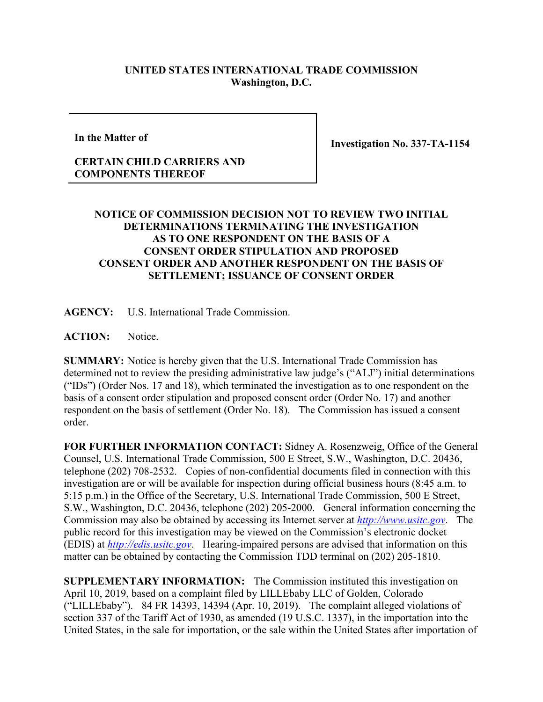## **UNITED STATES INTERNATIONAL TRADE COMMISSION Washington, D.C.**

**In the Matter of**

**Investigation No. 337-TA-1154**

## **CERTAIN CHILD CARRIERS AND COMPONENTS THEREOF**

## **NOTICE OF COMMISSION DECISION NOT TO REVIEW TWO INITIAL DETERMINATIONS TERMINATING THE INVESTIGATION AS TO ONE RESPONDENT ON THE BASIS OF A CONSENT ORDER STIPULATION AND PROPOSED CONSENT ORDER AND ANOTHER RESPONDENT ON THE BASIS OF SETTLEMENT; ISSUANCE OF CONSENT ORDER**

**AGENCY:** U.S. International Trade Commission.

ACTION: Notice.

**SUMMARY:** Notice is hereby given that the U.S. International Trade Commission has determined not to review the presiding administrative law judge's ("ALJ") initial determinations ("IDs") (Order Nos. 17 and 18), which terminated the investigation as to one respondent on the basis of a consent order stipulation and proposed consent order (Order No. 17) and another respondent on the basis of settlement (Order No. 18). The Commission has issued a consent order.

**FOR FURTHER INFORMATION CONTACT:** Sidney A. Rosenzweig, Office of the General Counsel, U.S. International Trade Commission, 500 E Street, S.W., Washington, D.C. 20436, telephone (202) 708-2532. Copies of non-confidential documents filed in connection with this investigation are or will be available for inspection during official business hours (8:45 a.m. to 5:15 p.m.) in the Office of the Secretary, U.S. International Trade Commission, 500 E Street, S.W., Washington, D.C. 20436, telephone (202) 205-2000. General information concerning the Commission may also be obtained by accessing its Internet server at *[http://www.usitc.gov](http://www.usitc.gov/)*. The public record for this investigation may be viewed on the Commission's electronic docket (EDIS) at *[http://edis.usitc.gov](http://edis.usitc.gov/)*. Hearing-impaired persons are advised that information on this matter can be obtained by contacting the Commission TDD terminal on (202) 205-1810.

**SUPPLEMENTARY INFORMATION:** The Commission instituted this investigation on April 10, 2019, based on a complaint filed by LILLEbaby LLC of Golden, Colorado ("LILLEbaby"). 84 FR 14393, 14394 (Apr. 10, 2019). The complaint alleged violations of section 337 of the Tariff Act of 1930, as amended (19 U.S.C. 1337), in the importation into the United States, in the sale for importation, or the sale within the United States after importation of